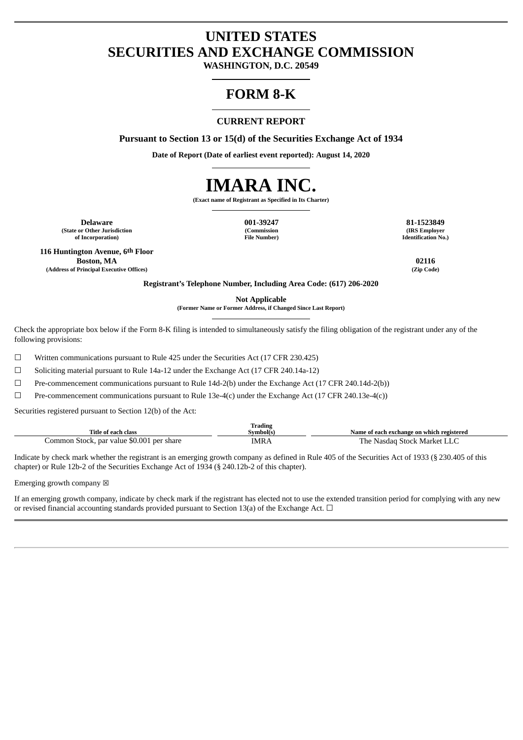# **UNITED STATES SECURITIES AND EXCHANGE COMMISSION**

**WASHINGTON, D.C. 20549**

# **FORM 8-K**

## **CURRENT REPORT**

**Pursuant to Section 13 or 15(d) of the Securities Exchange Act of 1934**

**Date of Report (Date of earliest event reported): August 14, 2020**



**(Exact name of Registrant as Specified in Its Charter)**

**Delaware 001-39247 81-1523849 (State or Other Jurisdiction of Incorporation)**

**(Commission File Number)**

**(IRS Employer Identification No.)**

**116 Huntington Avenue, 6th Floor Boston, MA 02116 (Address of Principal Executive Offices) (Zip Code)**

**Registrant's Telephone Number, Including Area Code: (617) 206-2020**

**Not Applicable**

**(Former Name or Former Address, if Changed Since Last Report)**

Check the appropriate box below if the Form 8-K filing is intended to simultaneously satisfy the filing obligation of the registrant under any of the following provisions:

☐ Written communications pursuant to Rule 425 under the Securities Act (17 CFR 230.425)

☐ Soliciting material pursuant to Rule 14a-12 under the Exchange Act (17 CFR 240.14a-12)

☐ Pre-commencement communications pursuant to Rule 14d-2(b) under the Exchange Act (17 CFR 240.14d-2(b))

 $□$  Pre-commencement communications pursuant to Rule 13e-4(c) under the Exchange Act (17 CFR 240.13e-4(c))

Securities registered pursuant to Section 12(b) of the Act:

| Title of each class                       | <b>Trading</b><br>Symbol(s. | Name of each exchange on which registered |
|-------------------------------------------|-----------------------------|-------------------------------------------|
| Common Stock, par value \$0.001 per share | IMRA                        | The Nasdag Stock Market LLC               |

Indicate by check mark whether the registrant is an emerging growth company as defined in Rule 405 of the Securities Act of 1933 (§ 230.405 of this chapter) or Rule 12b-2 of the Securities Exchange Act of 1934 (§ 240.12b-2 of this chapter).

Emerging growth company  $\boxtimes$ 

If an emerging growth company, indicate by check mark if the registrant has elected not to use the extended transition period for complying with any new or revised financial accounting standards provided pursuant to Section 13(a) of the Exchange Act.  $\Box$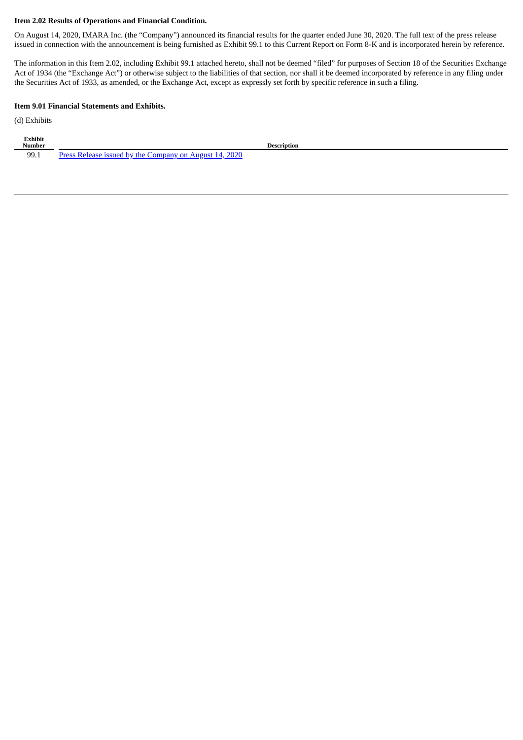#### **Item 2.02 Results of Operations and Financial Condition.**

On August 14, 2020, IMARA Inc. (the "Company") announced its financial results for the quarter ended June 30, 2020. The full text of the press release issued in connection with the announcement is being furnished as Exhibit 99.1 to this Current Report on Form 8-K and is incorporated herein by reference.

The information in this Item 2.02, including Exhibit 99.1 attached hereto, shall not be deemed "filed" for purposes of Section 18 of the Securities Exchange Act of 1934 (the "Exchange Act") or otherwise subject to the liabilities of that section, nor shall it be deemed incorporated by reference in any filing under the Securities Act of 1933, as amended, or the Exchange Act, except as expressly set forth by specific reference in such a filing.

#### **Item 9.01 Financial Statements and Exhibits.**

(d) Exhibits

| Exhibit<br>-------<br><b>Number</b> |                                                                                                                            | <b>Description</b> |  |
|-------------------------------------|----------------------------------------------------------------------------------------------------------------------------|--------------------|--|
| 99.1                                | ാറാറ<br><b>issued</b><br>- Drace Ralagea<br>$\frac{1}{2}$ ompany on $\mathbb{R}$ .<br>Anonet 1<br>. hv tha f<br><b>ZUZ</b> |                    |  |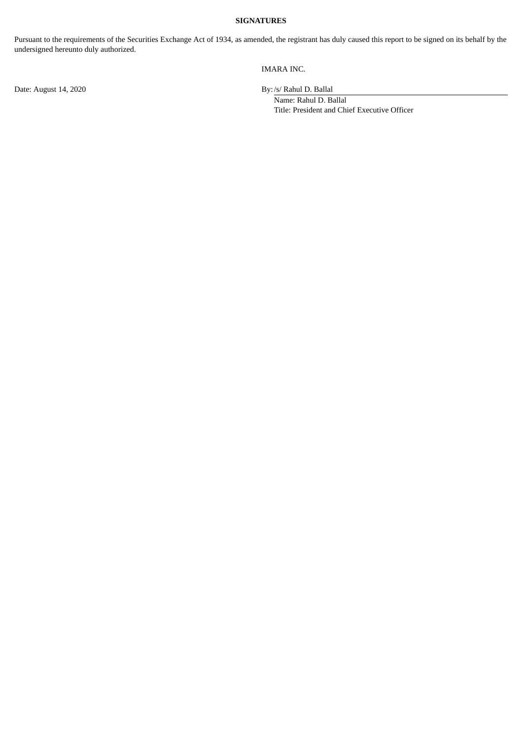#### **SIGNATURES**

Pursuant to the requirements of the Securities Exchange Act of 1934, as amended, the registrant has duly caused this report to be signed on its behalf by the undersigned hereunto duly authorized.

IMARA INC.

Date: August 14, 2020 By:/s/ Rahul D. Ballal

Name: Rahul D. Ballal Title: President and Chief Executive Officer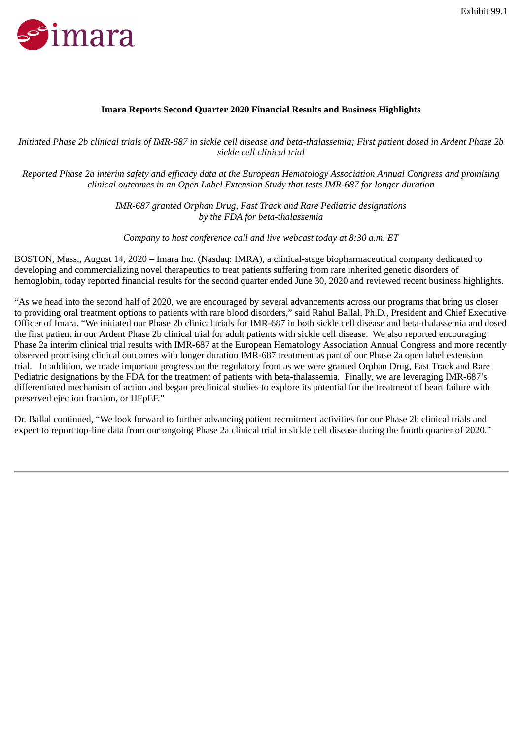<span id="page-3-0"></span>

# **Imara Reports Second Quarter 2020 Financial Results and Business Highlights**

*Initiated Phase 2b clinical trials of IMR-687 in sickle cell disease and beta-thalassemia; First patient dosed in Ardent Phase 2b sickle cell clinical trial*

*Reported Phase 2a interim safety and efficacy data at the European Hematology Association Annual Congress and promising clinical outcomes in an Open Label Extension Study that tests IMR-687 for longer duration*

> *IMR-687 granted Orphan Drug, Fast Track and Rare Pediatric designations by the FDA for beta-thalassemia*

*Company to host conference call and live webcast today at 8:30 a.m. ET*

BOSTON, Mass., August 14, 2020 – Imara Inc. (Nasdaq: IMRA), a clinical-stage biopharmaceutical company dedicated to developing and commercializing novel therapeutics to treat patients suffering from rare inherited genetic disorders of hemoglobin, today reported financial results for the second quarter ended June 30, 2020 and reviewed recent business highlights.

"As we head into the second half of 2020, we are encouraged by several advancements across our programs that bring us closer to providing oral treatment options to patients with rare blood disorders," said Rahul Ballal, Ph.D., President and Chief Executive Officer of Imara. "We initiated our Phase 2b clinical trials for IMR-687 in both sickle cell disease and beta-thalassemia and dosed the first patient in our Ardent Phase 2b clinical trial for adult patients with sickle cell disease. We also reported encouraging Phase 2a interim clinical trial results with IMR-687 at the European Hematology Association Annual Congress and more recently observed promising clinical outcomes with longer duration IMR-687 treatment as part of our Phase 2a open label extension trial. In addition, we made important progress on the regulatory front as we were granted Orphan Drug, Fast Track and Rare Pediatric designations by the FDA for the treatment of patients with beta-thalassemia. Finally, we are leveraging IMR-687's differentiated mechanism of action and began preclinical studies to explore its potential for the treatment of heart failure with preserved ejection fraction, or HFpEF."

Dr. Ballal continued, "We look forward to further advancing patient recruitment activities for our Phase 2b clinical trials and expect to report top-line data from our ongoing Phase 2a clinical trial in sickle cell disease during the fourth quarter of 2020."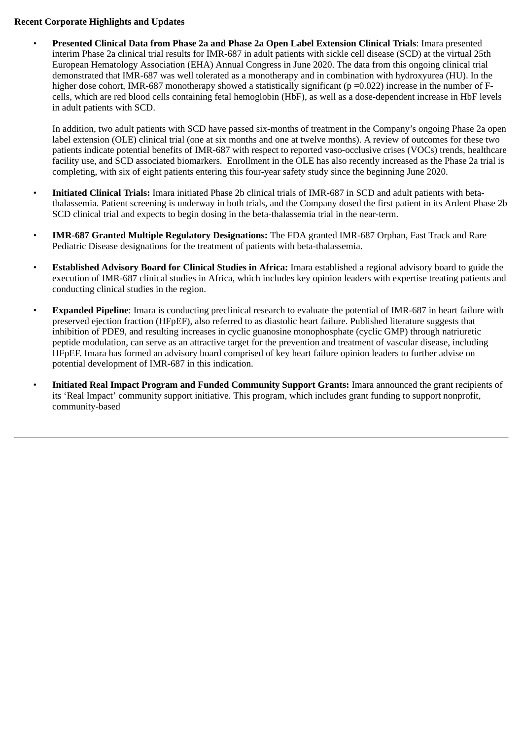# **Recent Corporate Highlights and Updates**

• **Presented Clinical Data from Phase 2a and Phase 2a Open Label Extension Clinical Trials**: Imara presented interim Phase 2a clinical trial results for IMR-687 in adult patients with sickle cell disease (SCD) at the virtual 25th European Hematology Association (EHA) Annual Congress in June 2020. The data from this ongoing clinical trial demonstrated that IMR-687 was well tolerated as a monotherapy and in combination with hydroxyurea (HU). In the higher dose cohort, IMR-687 monotherapy showed a statistically significant (p =0.022) increase in the number of Fcells, which are red blood cells containing fetal hemoglobin (HbF), as well as a dose-dependent increase in HbF levels in adult patients with SCD.

In addition, two adult patients with SCD have passed six-months of treatment in the Company's ongoing Phase 2a open label extension (OLE) clinical trial (one at six months and one at twelve months). A review of outcomes for these two patients indicate potential benefits of IMR-687 with respect to reported vaso-occlusive crises (VOCs) trends, healthcare facility use, and SCD associated biomarkers. Enrollment in the OLE has also recently increased as the Phase 2a trial is completing, with six of eight patients entering this four-year safety study since the beginning June 2020.

- **Initiated Clinical Trials:** Imara initiated Phase 2b clinical trials of IMR-687 in SCD and adult patients with betathalassemia. Patient screening is underway in both trials, and the Company dosed the first patient in its Ardent Phase 2b SCD clinical trial and expects to begin dosing in the beta-thalassemia trial in the near-term.
- **IMR-687 Granted Multiple Regulatory Designations:** The FDA granted IMR-687 Orphan, Fast Track and Rare Pediatric Disease designations for the treatment of patients with beta-thalassemia.
- **Established Advisory Board for Clinical Studies in Africa:** Imara established a regional advisory board to guide the execution of IMR-687 clinical studies in Africa, which includes key opinion leaders with expertise treating patients and conducting clinical studies in the region.
- **Expanded Pipeline**: Imara is conducting preclinical research to evaluate the potential of IMR-687 in heart failure with preserved ejection fraction (HFpEF), also referred to as diastolic heart failure. Published literature suggests that inhibition of PDE9, and resulting increases in cyclic guanosine monophosphate (cyclic GMP) through natriuretic peptide modulation, can serve as an attractive target for the prevention and treatment of vascular disease, including HFpEF. Imara has formed an advisory board comprised of key heart failure opinion leaders to further advise on potential development of IMR-687 in this indication.
- **Initiated Real Impact Program and Funded Community Support Grants:** Imara announced the grant recipients of its 'Real Impact' community support initiative. This program, which includes grant funding to support nonprofit, community-based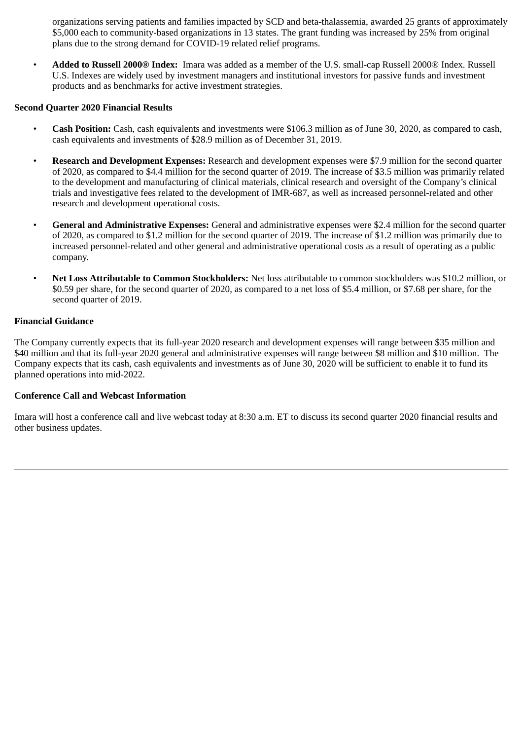organizations serving patients and families impacted by SCD and beta-thalassemia, awarded 25 grants of approximately \$5,000 each to community-based organizations in 13 states. The grant funding was increased by 25% from original plans due to the strong demand for COVID-19 related relief programs.

• **Added to Russell 2000® Index:** Imara was added as a member of the U.S. small-cap Russell 2000® Index. Russell U.S. Indexes are widely used by investment managers and institutional investors for passive funds and investment products and as benchmarks for active investment strategies.

# **Second Quarter 2020 Financial Results**

- **Cash Position:** Cash, cash equivalents and investments were \$106.3 million as of June 30, 2020, as compared to cash, cash equivalents and investments of \$28.9 million as of December 31, 2019.
- **Research and Development Expenses:** Research and development expenses were \$7.9 million for the second quarter of 2020, as compared to \$4.4 million for the second quarter of 2019. The increase of \$3.5 million was primarily related to the development and manufacturing of clinical materials, clinical research and oversight of the Company's clinical trials and investigative fees related to the development of IMR-687, as well as increased personnel-related and other research and development operational costs.
- **General and Administrative Expenses:** General and administrative expenses were \$2.4 million for the second quarter of 2020, as compared to \$1.2 million for the second quarter of 2019. The increase of \$1.2 million was primarily due to increased personnel-related and other general and administrative operational costs as a result of operating as a public company.
- **Net Loss Attributable to Common Stockholders:** Net loss attributable to common stockholders was \$10.2 million, or \$0.59 per share, for the second quarter of 2020, as compared to a net loss of \$5.4 million, or \$7.68 per share, for the second quarter of 2019.

# **Financial Guidance**

The Company currently expects that its full-year 2020 research and development expenses will range between \$35 million and \$40 million and that its full-year 2020 general and administrative expenses will range between \$8 million and \$10 million. The Company expects that its cash, cash equivalents and investments as of June 30, 2020 will be sufficient to enable it to fund its planned operations into mid-2022.

# **Conference Call and Webcast Information**

Imara will host a conference call and live webcast today at 8:30 a.m. ET to discuss its second quarter 2020 financial results and other business updates.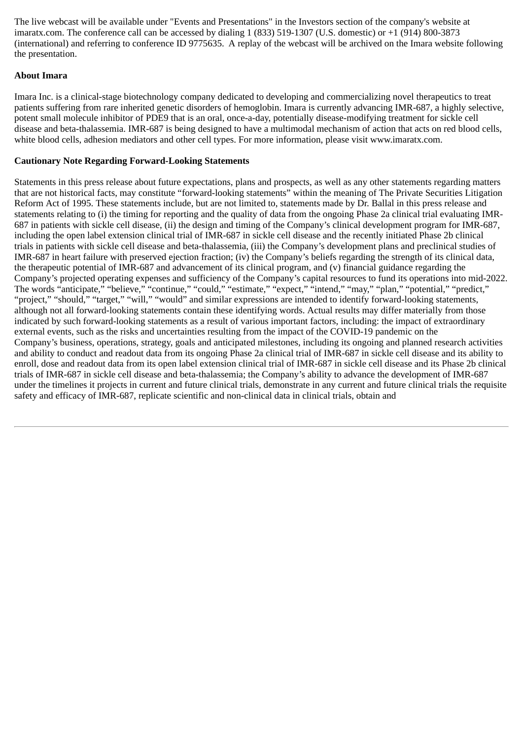The live webcast will be available under "Events and Presentations" in the Investors section of the company's website at imaratx.com. The conference call can be accessed by dialing 1 (833) 519-1307 (U.S. domestic) or +1 (914) 800-3873 (international) and referring to conference ID 9775635. A replay of the webcast will be archived on the Imara website following the presentation.

# **About Imara**

Imara Inc. is a clinical-stage biotechnology company dedicated to developing and commercializing novel therapeutics to treat patients suffering from rare inherited genetic disorders of hemoglobin. Imara is currently advancing IMR-687, a highly selective, potent small molecule inhibitor of PDE9 that is an oral, once-a-day, potentially disease-modifying treatment for sickle cell disease and beta-thalassemia. IMR-687 is being designed to have a multimodal mechanism of action that acts on red blood cells, white blood cells, adhesion mediators and other cell types. For more information, please visit www.imaratx.com.

# **Cautionary Note Regarding Forward-Looking Statements**

Statements in this press release about future expectations, plans and prospects, as well as any other statements regarding matters that are not historical facts, may constitute "forward-looking statements" within the meaning of The Private Securities Litigation Reform Act of 1995. These statements include, but are not limited to, statements made by Dr. Ballal in this press release and statements relating to (i) the timing for reporting and the quality of data from the ongoing Phase 2a clinical trial evaluating IMR-687 in patients with sickle cell disease, (ii) the design and timing of the Company's clinical development program for IMR-687, including the open label extension clinical trial of IMR-687 in sickle cell disease and the recently initiated Phase 2b clinical trials in patients with sickle cell disease and beta-thalassemia, (iii) the Company's development plans and preclinical studies of IMR-687 in heart failure with preserved ejection fraction; (iv) the Company's beliefs regarding the strength of its clinical data, the therapeutic potential of IMR-687 and advancement of its clinical program, and (v) financial guidance regarding the Company's projected operating expenses and sufficiency of the Company's capital resources to fund its operations into mid-2022. The words "anticipate," "believe," "continue," "could," "estimate," "expect," "intend," "may," "plan," "potential," "predict," "project," "should," "target," "will," "would" and similar expressions are intended to identify forward-looking statements, although not all forward-looking statements contain these identifying words. Actual results may differ materially from those indicated by such forward-looking statements as a result of various important factors, including: the impact of extraordinary external events, such as the risks and uncertainties resulting from the impact of the COVID-19 pandemic on the Company's business, operations, strategy, goals and anticipated milestones, including its ongoing and planned research activities and ability to conduct and readout data from its ongoing Phase 2a clinical trial of IMR-687 in sickle cell disease and its ability to enroll, dose and readout data from its open label extension clinical trial of IMR-687 in sickle cell disease and its Phase 2b clinical trials of IMR-687 in sickle cell disease and beta-thalassemia; the Company's ability to advance the development of IMR-687 under the timelines it projects in current and future clinical trials, demonstrate in any current and future clinical trials the requisite safety and efficacy of IMR-687, replicate scientific and non-clinical data in clinical trials, obtain and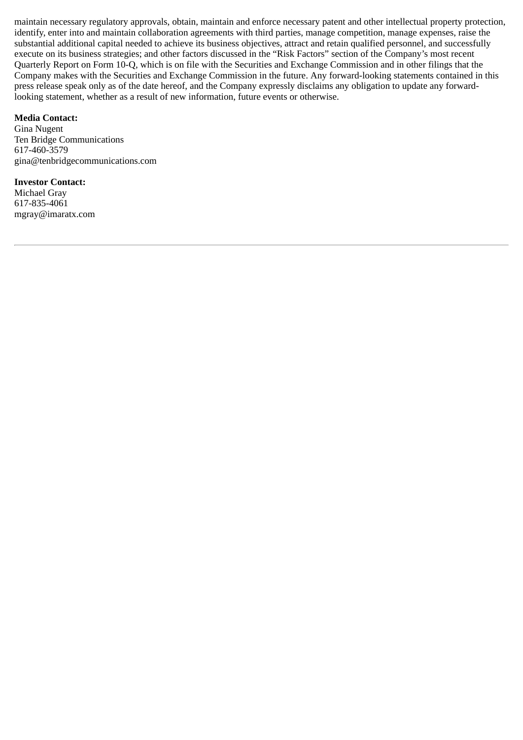maintain necessary regulatory approvals, obtain, maintain and enforce necessary patent and other intellectual property protection, identify, enter into and maintain collaboration agreements with third parties, manage competition, manage expenses, raise the substantial additional capital needed to achieve its business objectives, attract and retain qualified personnel, and successfully execute on its business strategies; and other factors discussed in the "Risk Factors" section of the Company's most recent Quarterly Report on Form 10-Q, which is on file with the Securities and Exchange Commission and in other filings that the Company makes with the Securities and Exchange Commission in the future. Any forward-looking statements contained in this press release speak only as of the date hereof, and the Company expressly disclaims any obligation to update any forwardlooking statement, whether as a result of new information, future events or otherwise.

### **Media Contact:**

Gina Nugent Ten Bridge Communications 617-460-3579 gina@tenbridgecommunications.com

### **Investor Contact:**

Michael Gray 617-835-4061 mgray@imaratx.com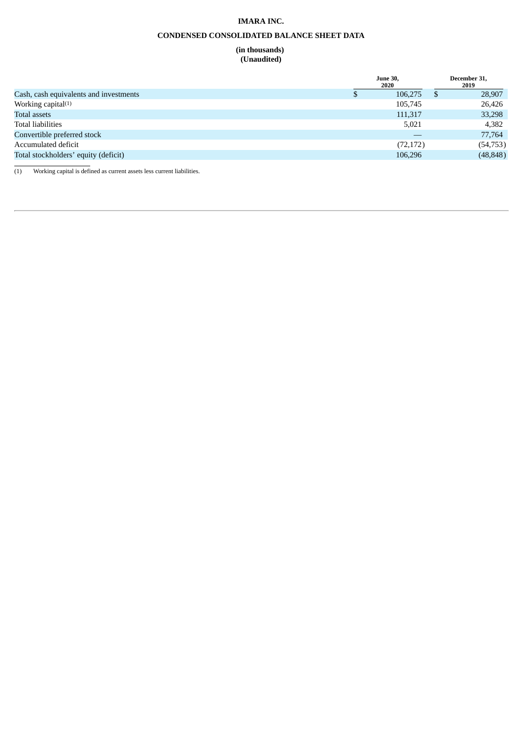## **IMARA INC.**

## **CONDENSED CONSOLIDATED BALANCE SHEET DATA**

#### **(in thousands) (Unaudited)**

|                                        |   | <b>June 30,</b><br>2020 | December 31,<br>2019 |
|----------------------------------------|---|-------------------------|----------------------|
| Cash, cash equivalents and investments | D | 106.275                 | 28,907               |
| Working capital <sup>(1)</sup>         |   | 105,745                 | 26,426               |
| Total assets                           |   | 111,317                 | 33,298               |
| <b>Total liabilities</b>               |   | 5,021                   | 4,382                |
| Convertible preferred stock            |   |                         | 77,764               |
| Accumulated deficit                    |   | (72, 172)               | (54, 753)            |
| Total stockholders' equity (deficit)   |   | 106,296                 | (48, 848)            |
|                                        |   |                         |                      |

(1) Working capital is defined as current assets less current liabilities.